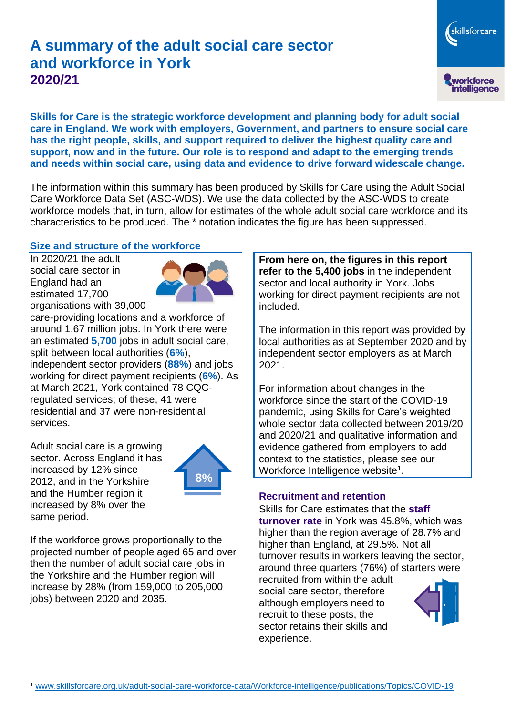# **A summary of the adult social care sector and workforce in York 2020/21**

**Skills for Care is the strategic workforce development and planning body for adult social care in England. We work with employers, Government, and partners to ensure social care has the right people, skills, and support required to deliver the highest quality care and support, now and in the future. Our role is to respond and adapt to the emerging trends and needs within social care, using data and evidence to drive forward widescale change.**

The information within this summary has been produced by Skills for Care using the Adult Social Care Workforce Data Set (ASC-WDS). We use the data collected by the ASC-WDS to create workforce models that, in turn, allow for estimates of the whole adult social care workforce and its characteristics to be produced. The \* notation indicates the figure has been suppressed.

#### **Size and structure of the workforce**

In 2020/21 the adult social care sector in England had an estimated 17,700 organisations with 39,000



care-providing locations and a workforce of around 1.67 million jobs. In York there were an estimated **5,700** jobs in adult social care, split between local authorities (**6%**), independent sector providers (**88%**) and jobs working for direct payment recipients (**6%**). As at March 2021, York contained 78 CQCregulated services; of these, 41 were residential and 37 were non-residential services.

Adult social care is a growing sector. Across England it has increased by 12% since 2012, and in the Yorkshire and the Humber region it increased by 8% over the same period.



If the workforce grows proportionally to the projected number of people aged 65 and over then the number of adult social care jobs in the Yorkshire and the Humber region will increase by 28% (from 159,000 to 205,000 jobs) between 2020 and 2035.

**From here on, the figures in this report refer to the 5,400 jobs** in the independent sector and local authority in York. Jobs working for direct payment recipients are not included.

The information in this report was provided by local authorities as at September 2020 and by independent sector employers as at March 2021.

For information about changes in the workforce since the start of the COVID-19 pandemic, using Skills for Care's weighted whole sector data collected between 2019/20 and 2020/21 and qualitative information and evidence gathered from employers to add context to the statistics, please see our Workforce Intelligence website<sup>1</sup>.

#### **Recruitment and retention**

Skills for Care estimates that the **staff turnover rate** in York was 45.8%, which was higher than the region average of 28.7% and higher than England, at 29.5%. Not all turnover results in workers leaving the sector, around three quarters (76%) of starters were

recruited from within the adult social care sector, therefore although employers need to recruit to these posts, the sector retains their skills and experience.



skillsforcare

workforce<br>intelligence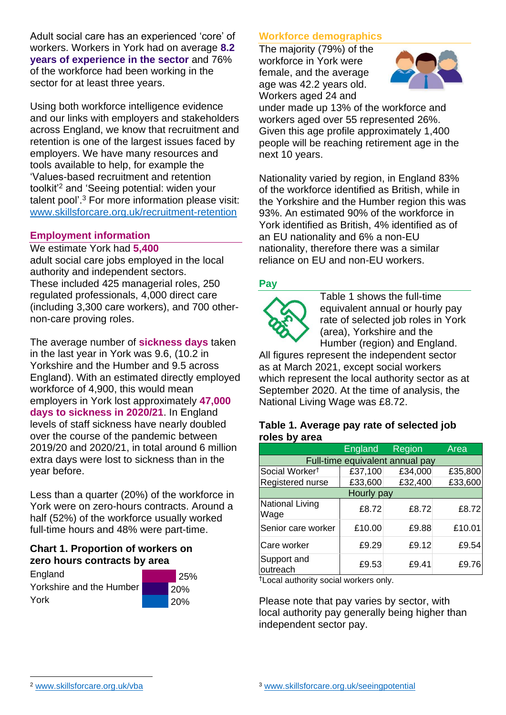Adult social care has an experienced 'core' of workers. Workers in York had on average **8.2 years of experience in the sector** and 76% of the workforce had been working in the sector for at least three years.

Using both workforce intelligence evidence and our links with employers and stakeholders across England, we know that recruitment and retention is one of the largest issues faced by employers. We have many resources and tools available to help, for example the 'Values-based recruitment and retention toolkit'<sup>2</sup> and 'Seeing potential: widen your talent pool'. <sup>3</sup> For more information please visit: [www.skillsforcare.org.uk/recruitment-retention](http://www.skillsforcare.org.uk/recruitment-retention)

### **Employment information**

We estimate York had **5,400** adult social care jobs employed in the local authority and independent sectors. These included 425 managerial roles, 250 regulated professionals, 4,000 direct care (including 3,300 care workers), and 700 othernon-care proving roles.

The average number of **sickness days** taken in the last year in York was 9.6, (10.2 in Yorkshire and the Humber and 9.5 across England). With an estimated directly employed workforce of 4,900, this would mean employers in York lost approximately **47,000 days to sickness in 2020/21**. In England levels of staff sickness have nearly doubled over the course of the pandemic between 2019/20 and 2020/21, in total around 6 million extra days were lost to sickness than in the year before.

Less than a quarter (20%) of the workforce in York were on zero-hours contracts. Around a half (52%) of the workforce usually worked full-time hours and 48% were part-time.

### **Chart 1. Proportion of workers on zero hours contracts by area**

**England** Yorkshire and the Humber York 25% 20% 20%



# **Workforce demographics**

The majority (79%) of the workforce in York were female, and the average age was 42.2 years old. Workers aged 24 and



under made up 13% of the workforce and workers aged over 55 represented 26%. Given this age profile approximately 1,400 people will be reaching retirement age in the next 10 years.

Nationality varied by region, in England 83% of the workforce identified as British, while in the Yorkshire and the Humber region this was 93%. An estimated 90% of the workforce in York identified as British, 4% identified as of an EU nationality and 6% a non-EU nationality, therefore there was a similar reliance on EU and non-EU workers.

### **Pay**



Table 1 shows the full-time equivalent annual or hourly pay rate of selected job roles in York (area), Yorkshire and the Humber (region) and England.

All figures represent the independent sector as at March 2021, except social workers which represent the local authority sector as at September 2020. At the time of analysis, the National Living Wage was £8.72.

#### **Table 1. Average pay rate of selected job roles by area**

|                                 | <b>England</b> | Region  | Area    |
|---------------------------------|----------------|---------|---------|
| Full-time equivalent annual pay |                |         |         |
| Social Worker <sup>t</sup>      | £37,100        | £34,000 | £35,800 |
| Registered nurse                | £33,600        | £32,400 | £33,600 |
| Hourly pay                      |                |         |         |
| National Living<br>Wage         | £8.72          | £8.72   | £8.72   |
| Senior care worker              | £10.00         | £9.88   | £10.01  |
| Care worker                     | £9.29          | £9.12   | £9.54   |
| Support and<br>outreach         | £9.53          | £9.41   | £9.76   |

†Local authority social workers only.

Please note that pay varies by sector, with local authority pay generally being higher than independent sector pay.